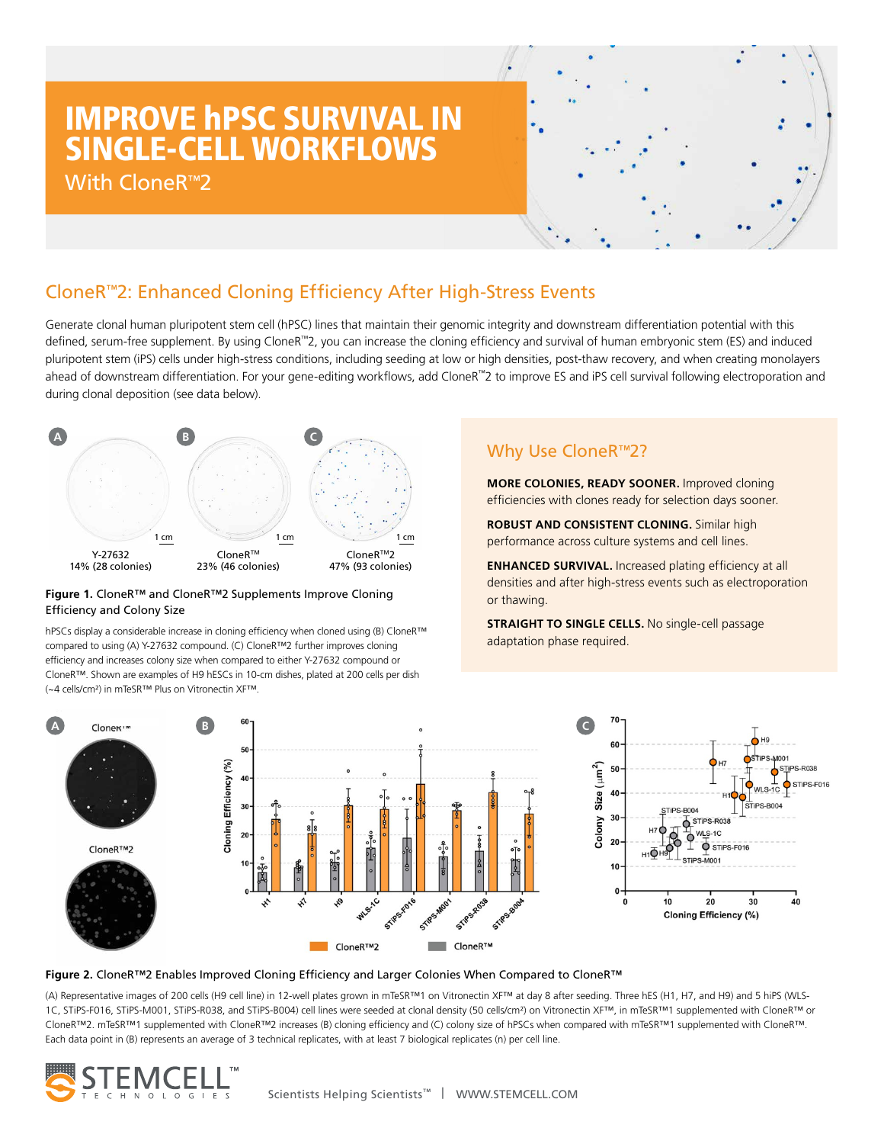# IMPROVE hPSC SURVIVAL IN SINGLE-CELL WORKFLOWS

With CloneR™2



# CloneR™2: Enhanced Cloning Efficiency After High-Stress Events

Generate clonal human pluripotent stem cell (hPSC) lines that maintain their genomic integrity and downstream differentiation potential with this defined, serum-free supplement. By using CloneR™2, you can increase the cloning efficiency and survival of human embryonic stem (ES) and induced pluripotent stem (iPS) cells under high-stress conditions, including seeding at low or high densities, post-thaw recovery, and when creating monolayers ahead of downstream differentiation. For your gene-editing workflows, add CloneR™2 to improve ES and iPS cell survival following electroporation and during clonal deposition (see data below).



### **Figure 1.** CloneR™ and CloneR™2 Supplements Improve Cloning Efficiency and Colony Size

hPSCs display a considerable increase in cloning efficiency when cloned using (B) CloneR™ compared to using (A) Y-27632 compound. (C) CloneR™2 further improves cloning efficiency and increases colony size when compared to either Y-27632 compound or CloneR™. Shown are examples of H9 hESCs in 10-cm dishes, plated at 200 cells per dish (~4 cells/cm²) in mTeSR™ Plus on Vitronectin XF™.

# Why Use CloneR<sup>™2?</sup>

**MORE COLONIES, READY SOONER.** Improved cloning efficiencies with clones ready for selection days sooner.

**ROBUST AND CONSISTENT CLONING.** Similar high performance across culture systems and cell lines.

**ENHANCED SURVIVAL.** Increased plating efficiency at all densities and after high-stress events such as electroporation or thawing.

**STRAIGHT TO SINGLE CELLS.** No single-cell passage adaptation phase required.



### **Figure 2.** CloneR™2 Enables Improved Cloning Efficiency and Larger Colonies When Compared to CloneR™

(A) Representative images of 200 cells (H9 cell line) in 12-well plates grown in mTeSR™1 on Vitronectin XF™ at day 8 after seeding. Three hES (H1, H7, and H9) and 5 hiPS (WLS-1C, STiPS-F016, STiPS-M001, STiPS-R038, and STiPS-B004) cell lines were seeded at clonal density (50 cells/cm²) on Vitronectin XF™, in mTeSR™1 supplemented with CloneR™ or CloneR™2. mTeSR™1 supplemented with CloneR™2 increases (B) cloning efficiency and (C) colony size of hPSCs when compared with mTeSR™1 supplemented with CloneR™. Each data point in (B) represents an average of 3 technical replicates, with at least 7 biological replicates (n) per cell line.